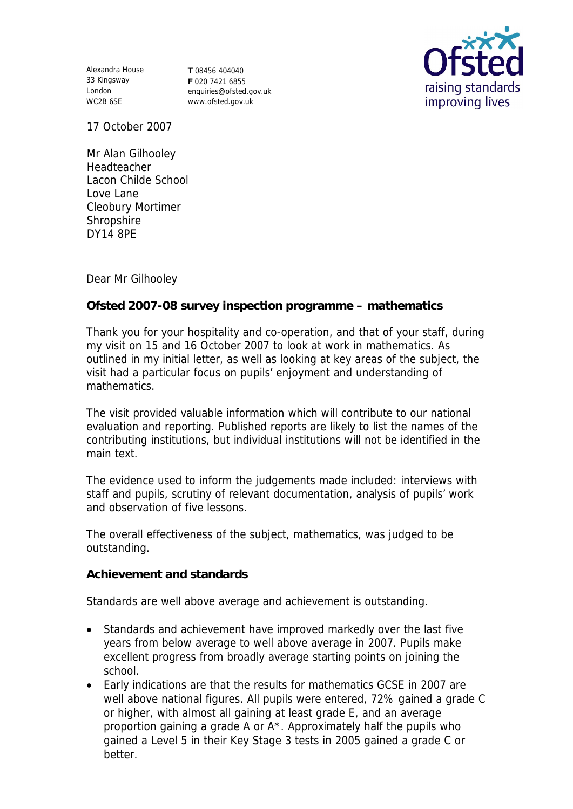Alexandra House **T** 08456 404040 33 Kingsway London WC2B 6SE

**F** 020 7421 6855 enquiries@ofsted.gov.uk www.ofsted.gov.uk



17 October 2007

Mr Alan Gilhooley Headteacher Lacon Childe School Love Lane Cleobury Mortimer Shropshire DY14 8PE

Dear Mr Gilhooley

**Ofsted 2007-08 survey inspection programme – mathematics** 

Thank you for your hospitality and co-operation, and that of your staff, during my visit on 15 and 16 October 2007 to look at work in mathematics. As outlined in my initial letter, as well as looking at key areas of the subject, the visit had a particular focus on pupils' enjoyment and understanding of mathematics.

The visit provided valuable information which will contribute to our national evaluation and reporting. Published reports are likely to list the names of the contributing institutions, but individual institutions will not be identified in the main text.

The evidence used to inform the judgements made included: interviews with staff and pupils, scrutiny of relevant documentation, analysis of pupils' work and observation of five lessons.

The overall effectiveness of the subject, mathematics, was judged to be outstanding.

**Achievement and standards** 

Standards are well above average and achievement is outstanding.

- Standards and achievement have improved markedly over the last five years from below average to well above average in 2007. Pupils make excellent progress from broadly average starting points on joining the school.
- Early indications are that the results for mathematics GCSE in 2007 are well above national figures. All pupils were entered, 72% gained a grade C or higher, with almost all gaining at least grade E, and an average proportion gaining a grade A or A\*. Approximately half the pupils who gained a Level 5 in their Key Stage 3 tests in 2005 gained a grade C or better.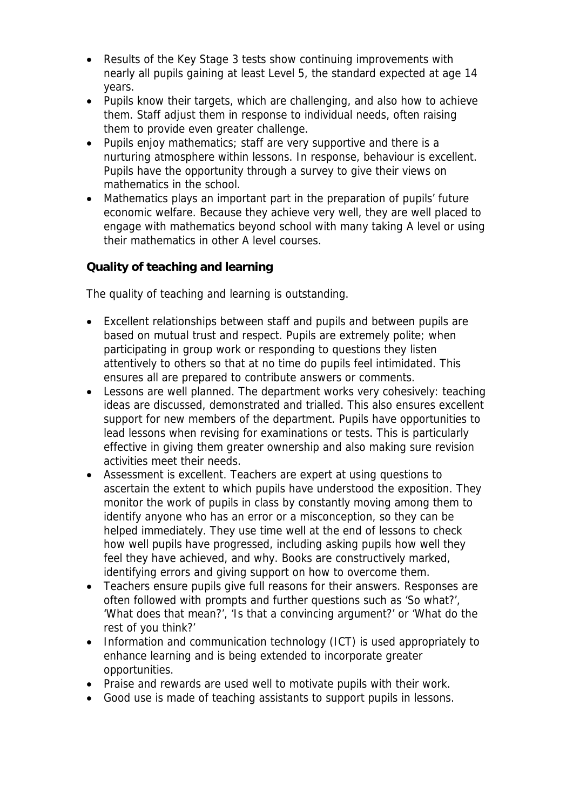- Results of the Key Stage 3 tests show continuing improvements with nearly all pupils gaining at least Level 5, the standard expected at age 14 years.
- Pupils know their targets, which are challenging, and also how to achieve them. Staff adjust them in response to individual needs, often raising them to provide even greater challenge.
- Pupils enjoy mathematics; staff are very supportive and there is a nurturing atmosphere within lessons. In response, behaviour is excellent. Pupils have the opportunity through a survey to give their views on mathematics in the school.
- Mathematics plays an important part in the preparation of pupils' future economic welfare. Because they achieve very well, they are well placed to engage with mathematics beyond school with many taking A level or using their mathematics in other A level courses.

**Quality of teaching and learning**

The quality of teaching and learning is outstanding.

- Excellent relationships between staff and pupils and between pupils are based on mutual trust and respect. Pupils are extremely polite; when participating in group work or responding to questions they listen attentively to others so that at no time do pupils feel intimidated. This ensures all are prepared to contribute answers or comments.
- Lessons are well planned. The department works very cohesively: teaching ideas are discussed, demonstrated and trialled. This also ensures excellent support for new members of the department. Pupils have opportunities to lead lessons when revising for examinations or tests. This is particularly effective in giving them greater ownership and also making sure revision activities meet their needs.
- Assessment is excellent. Teachers are expert at using questions to ascertain the extent to which pupils have understood the exposition. They monitor the work of pupils in class by constantly moving among them to identify anyone who has an error or a misconception, so they can be helped immediately. They use time well at the end of lessons to check how well pupils have progressed, including asking pupils how well they feel they have achieved, and why. Books are constructively marked, identifying errors and giving support on how to overcome them.
- Teachers ensure pupils give full reasons for their answers. Responses are often followed with prompts and further questions such as 'So what?', 'What does that mean?', 'Is that a convincing argument?' or 'What do the rest of you think?'
- Information and communication technology (ICT) is used appropriately to enhance learning and is being extended to incorporate greater opportunities.
- Praise and rewards are used well to motivate pupils with their work.
- Good use is made of teaching assistants to support pupils in lessons.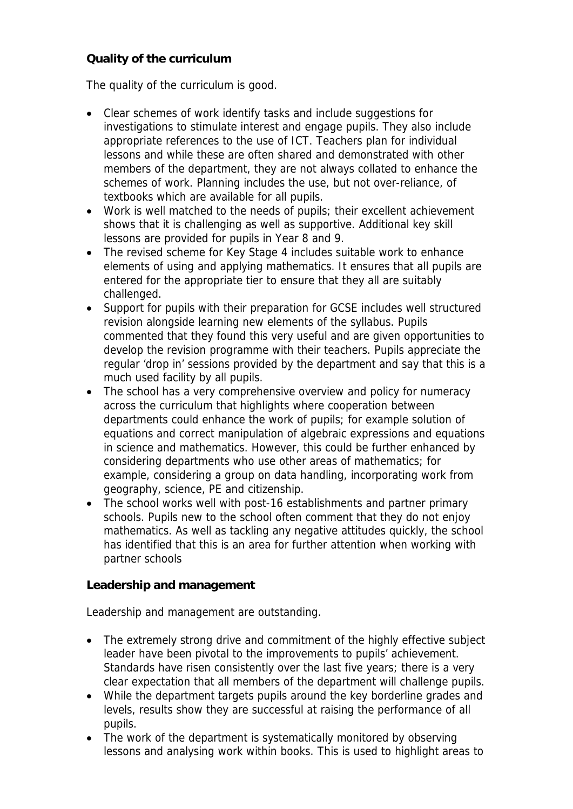## **Quality of the curriculum**

The quality of the curriculum is good.

- Clear schemes of work identify tasks and include suggestions for investigations to stimulate interest and engage pupils. They also include appropriate references to the use of ICT. Teachers plan for individual lessons and while these are often shared and demonstrated with other members of the department, they are not always collated to enhance the schemes of work. Planning includes the use, but not over-reliance, of textbooks which are available for all pupils.
- Work is well matched to the needs of pupils; their excellent achievement shows that it is challenging as well as supportive. Additional key skill lessons are provided for pupils in Year 8 and 9.
- The revised scheme for Key Stage 4 includes suitable work to enhance elements of using and applying mathematics. It ensures that all pupils are entered for the appropriate tier to ensure that they all are suitably challenged.
- Support for pupils with their preparation for GCSE includes well structured revision alongside learning new elements of the syllabus. Pupils commented that they found this very useful and are given opportunities to develop the revision programme with their teachers. Pupils appreciate the regular 'drop in' sessions provided by the department and say that this is a much used facility by all pupils.
- The school has a very comprehensive overview and policy for numeracy across the curriculum that highlights where cooperation between departments could enhance the work of pupils; for example solution of equations and correct manipulation of algebraic expressions and equations in science and mathematics. However, this could be further enhanced by considering departments who use other areas of mathematics; for example, considering a group on data handling, incorporating work from geography, science, PE and citizenship.
- The school works well with post-16 establishments and partner primary schools. Pupils new to the school often comment that they do not enjoy mathematics. As well as tackling any negative attitudes quickly, the school has identified that this is an area for further attention when working with partner schools

**Leadership and management**

Leadership and management are outstanding.

- The extremely strong drive and commitment of the highly effective subject leader have been pivotal to the improvements to pupils' achievement. Standards have risen consistently over the last five years; there is a very clear expectation that all members of the department will challenge pupils.
- While the department targets pupils around the key borderline grades and levels, results show they are successful at raising the performance of all pupils.
- The work of the department is systematically monitored by observing lessons and analysing work within books. This is used to highlight areas to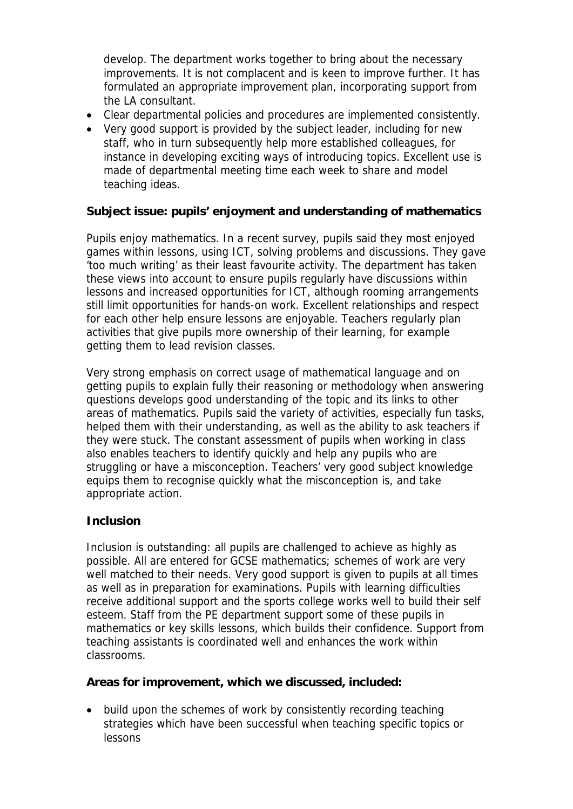develop. The department works together to bring about the necessary improvements. It is not complacent and is keen to improve further. It has formulated an appropriate improvement plan, incorporating support from the LA consultant.

- Clear departmental policies and procedures are implemented consistently.
- Very good support is provided by the subject leader, including for new staff, who in turn subsequently help more established colleagues, for instance in developing exciting ways of introducing topics. Excellent use is made of departmental meeting time each week to share and model teaching ideas.

**Subject issue: pupils' enjoyment and understanding of mathematics**

Pupils enjoy mathematics. In a recent survey, pupils said they most enjoyed games within lessons, using ICT, solving problems and discussions. They gave 'too much writing' as their least favourite activity. The department has taken these views into account to ensure pupils regularly have discussions within lessons and increased opportunities for ICT, although rooming arrangements still limit opportunities for hands-on work. Excellent relationships and respect for each other help ensure lessons are enjoyable. Teachers regularly plan activities that give pupils more ownership of their learning, for example getting them to lead revision classes.

Very strong emphasis on correct usage of mathematical language and on getting pupils to explain fully their reasoning or methodology when answering questions develops good understanding of the topic and its links to other areas of mathematics. Pupils said the variety of activities, especially fun tasks, helped them with their understanding, as well as the ability to ask teachers if they were stuck. The constant assessment of pupils when working in class also enables teachers to identify quickly and help any pupils who are struggling or have a misconception. Teachers' very good subject knowledge equips them to recognise quickly what the misconception is, and take appropriate action.

## **Inclusion**

Inclusion is outstanding: all pupils are challenged to achieve as highly as possible. All are entered for GCSE mathematics; schemes of work are very well matched to their needs. Very good support is given to pupils at all times as well as in preparation for examinations. Pupils with learning difficulties receive additional support and the sports college works well to build their self esteem. Staff from the PE department support some of these pupils in mathematics or key skills lessons, which builds their confidence. Support from teaching assistants is coordinated well and enhances the work within classrooms.

**Areas for improvement, which we discussed, included:**

• build upon the schemes of work by consistently recording teaching strategies which have been successful when teaching specific topics or lessons